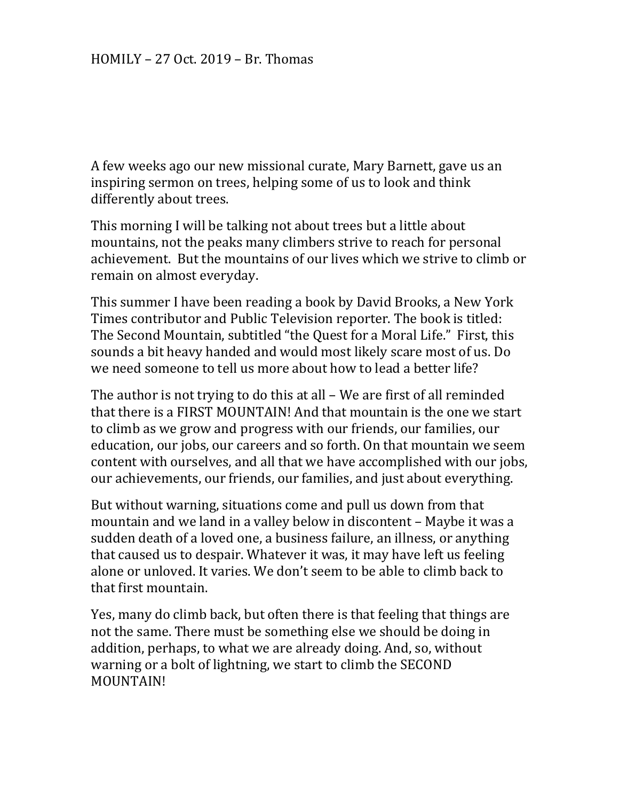A few weeks ago our new missional curate, Mary Barnett, gave us an inspiring sermon on trees, helping some of us to look and think differently about trees.

This morning I will be talking not about trees but a little about mountains, not the peaks many climbers strive to reach for personal achievement. But the mountains of our lives which we strive to climb or remain on almost everyday.

This summer I have been reading a book by David Brooks, a New York Times contributor and Public Television reporter. The book is titled: The Second Mountain, subtitled "the Quest for a Moral Life." First, this sounds a bit heavy handed and would most likely scare most of us. Do we need someone to tell us more about how to lead a better life?

The author is not trying to do this at all – We are first of all reminded that there is a FIRST MOUNTAIN! And that mountain is the one we start to climb as we grow and progress with our friends, our families, our education, our jobs, our careers and so forth. On that mountain we seem content with ourselves, and all that we have accomplished with our jobs, our achievements, our friends, our families, and just about everything.

But without warning, situations come and pull us down from that mountain and we land in a valley below in discontent – Maybe it was a sudden death of a loved one, a business failure, an illness, or anything that caused us to despair. Whatever it was, it may have left us feeling alone or unloved. It varies. We don't seem to be able to climb back to that first mountain.

Yes, many do climb back, but often there is that feeling that things are not the same. There must be something else we should be doing in addition, perhaps, to what we are already doing. And, so, without warning or a bolt of lightning, we start to climb the SECOND MOUNTAIN!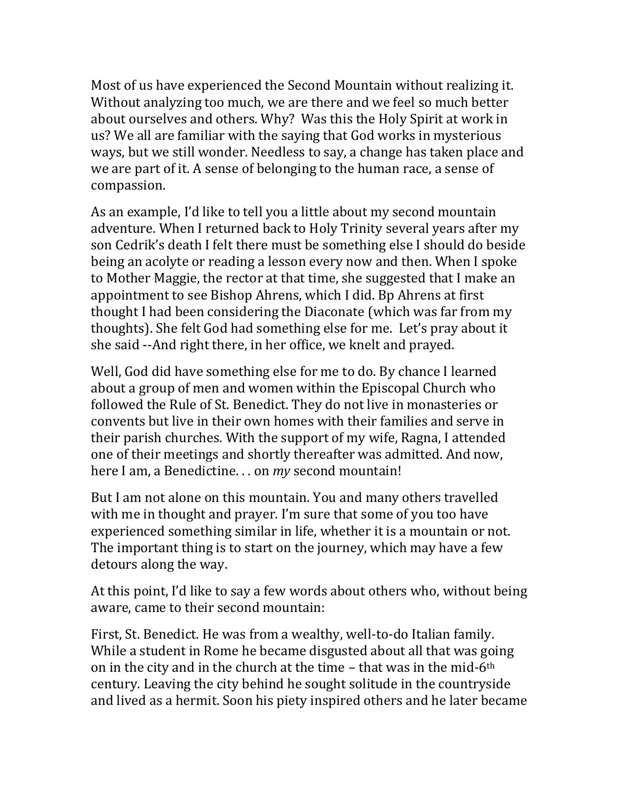Most of us have experienced the Second Mountain without realizing it. Without analyzing too much, we are there and we feel so much better about ourselves and others. Why? Was this the Holy Spirit at work in us? We all are familiar with the saying that God works in mysterious ways, but we still wonder. Needless to say, a change has taken place and we are part of it. A sense of belonging to the human race, a sense of compassion.

As an example, I'd like to tell you a little about my second mountain adventure. When I returned back to Holy Trinity several years after my son Cedrik's death I felt there must be something else I should do beside being an acolyte or reading a lesson every now and then. When I spoke to Mother Maggie, the rector at that time, she suggested that I make an appointment to see Bishop Ahrens, which I did. Bp Ahrens at first thought I had been considering the Diaconate (which was far from my thoughts). She felt God had something else for me. Let's pray about it she said --And right there, in her office, we knelt and prayed.

Well, God did have something else for me to do. By chance I learned about a group of men and women within the Episcopal Church who followed the Rule of St. Benedict. They do not live in monasteries or convents but live in their own homes with their families and serve in their parish churches. With the support of my wife, Ragna, I attended one of their meetings and shortly thereafter was admitted. And now, here I am, a Benedictine. . . on *my* second mountain!

But I am not alone on this mountain. You and many others travelled with me in thought and prayer. I'm sure that some of you too have experienced something similar in life, whether it is a mountain or not. The important thing is to start on the journey, which may have a few detours along the way.

At this point, I'd like to say a few words about others who, without being aware, came to their second mountain:

First, St. Benedict. He was from a wealthy, well-to-do Italian family. While a student in Rome he became disgusted about all that was going on in the city and in the church at the time  $-$  that was in the mid-6<sup>th</sup> century. Leaving the city behind he sought solitude in the countryside and lived as a hermit. Soon his piety inspired others and he later became